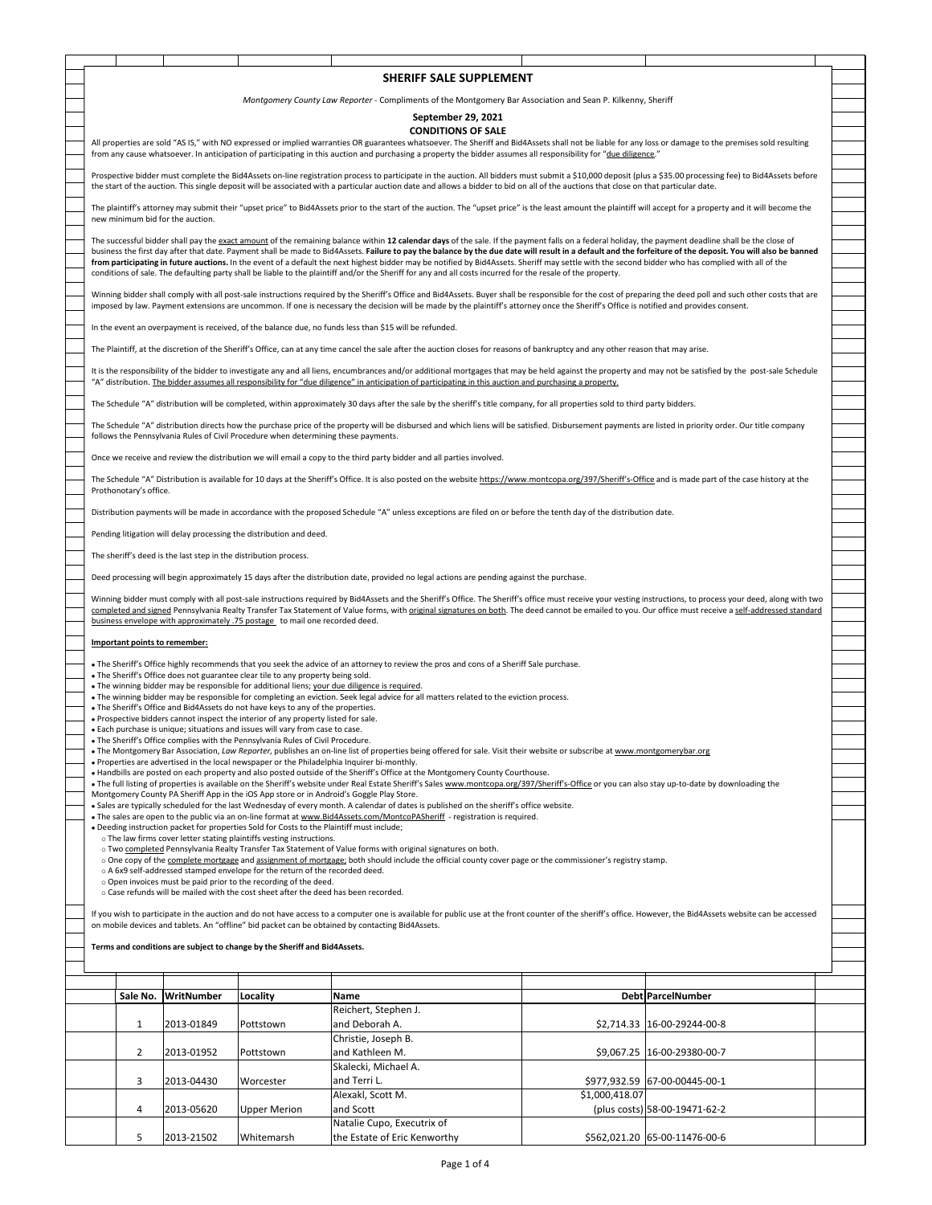|                                                                                                                                                                                                                |                                                                                                                                                                                                                                                                                                                                                                                                                     |                                                                  |                                                                                                                                                                        | SHERIFF SALE SUPPLEMENT                                                                                                                                                                                                                                                 |                |                               |  |  |  |  |
|----------------------------------------------------------------------------------------------------------------------------------------------------------------------------------------------------------------|---------------------------------------------------------------------------------------------------------------------------------------------------------------------------------------------------------------------------------------------------------------------------------------------------------------------------------------------------------------------------------------------------------------------|------------------------------------------------------------------|------------------------------------------------------------------------------------------------------------------------------------------------------------------------|-------------------------------------------------------------------------------------------------------------------------------------------------------------------------------------------------------------------------------------------------------------------------|----------------|-------------------------------|--|--|--|--|
|                                                                                                                                                                                                                |                                                                                                                                                                                                                                                                                                                                                                                                                     |                                                                  |                                                                                                                                                                        |                                                                                                                                                                                                                                                                         |                |                               |  |  |  |  |
| Montgomery County Law Reporter - Compliments of the Montgomery Bar Association and Sean P. Kilkenny, Sheriff                                                                                                   |                                                                                                                                                                                                                                                                                                                                                                                                                     |                                                                  |                                                                                                                                                                        |                                                                                                                                                                                                                                                                         |                |                               |  |  |  |  |
|                                                                                                                                                                                                                | September 29, 2021                                                                                                                                                                                                                                                                                                                                                                                                  |                                                                  |                                                                                                                                                                        |                                                                                                                                                                                                                                                                         |                |                               |  |  |  |  |
|                                                                                                                                                                                                                | <b>CONDITIONS OF SALE</b>                                                                                                                                                                                                                                                                                                                                                                                           |                                                                  |                                                                                                                                                                        |                                                                                                                                                                                                                                                                         |                |                               |  |  |  |  |
| All properties are sold "AS IS," with NO expressed or implied warranties OR guarantees whatsoever. The Sheriff and Bid4Assets shall not be liable for any loss or damage to the premises sold resulting        |                                                                                                                                                                                                                                                                                                                                                                                                                     |                                                                  |                                                                                                                                                                        |                                                                                                                                                                                                                                                                         |                |                               |  |  |  |  |
|                                                                                                                                                                                                                | from any cause whatsoever. In anticipation of participating in this auction and purchasing a property the bidder assumes all responsibility for "due diligence."                                                                                                                                                                                                                                                    |                                                                  |                                                                                                                                                                        |                                                                                                                                                                                                                                                                         |                |                               |  |  |  |  |
| Prospective bidder must complete the Bid4Assets on-line registration process to participate in the auction. All bidders must submit a \$10,000 deposit (plus a \$35.00 processing fee) to Bid4Assets before    |                                                                                                                                                                                                                                                                                                                                                                                                                     |                                                                  |                                                                                                                                                                        |                                                                                                                                                                                                                                                                         |                |                               |  |  |  |  |
| the start of the auction. This single deposit will be associated with a particular auction date and allows a bidder to bid on all of the auctions that close on that particular date.                          |                                                                                                                                                                                                                                                                                                                                                                                                                     |                                                                  |                                                                                                                                                                        |                                                                                                                                                                                                                                                                         |                |                               |  |  |  |  |
| The plaintiff's attorney may submit their "upset price" to Bid4Assets prior to the start of the auction. The "upset price" is the least amount the plaintiff will accept for a property and it will become the |                                                                                                                                                                                                                                                                                                                                                                                                                     |                                                                  |                                                                                                                                                                        |                                                                                                                                                                                                                                                                         |                |                               |  |  |  |  |
| new minimum bid for the auction.                                                                                                                                                                               |                                                                                                                                                                                                                                                                                                                                                                                                                     |                                                                  |                                                                                                                                                                        |                                                                                                                                                                                                                                                                         |                |                               |  |  |  |  |
|                                                                                                                                                                                                                |                                                                                                                                                                                                                                                                                                                                                                                                                     |                                                                  |                                                                                                                                                                        |                                                                                                                                                                                                                                                                         |                |                               |  |  |  |  |
|                                                                                                                                                                                                                | The successful bidder shall pay the exact amount of the remaining balance within 12 calendar days of the sale. If the payment falls on a federal holiday, the payment deadline shall be the close of<br>business the first day after that date. Payment shall be made to Bid4Assets. Failure to pay the balance by the due date will result in a default and the forfeiture of the deposit. You will also be banned |                                                                  |                                                                                                                                                                        |                                                                                                                                                                                                                                                                         |                |                               |  |  |  |  |
|                                                                                                                                                                                                                |                                                                                                                                                                                                                                                                                                                                                                                                                     |                                                                  |                                                                                                                                                                        | from participating in future auctions. In the event of a default the next highest bidder may be notified by Bid4Assets. Sheriff may settle with the second bidder who has complied with all of the                                                                      |                |                               |  |  |  |  |
| conditions of sale. The defaulting party shall be liable to the plaintiff and/or the Sheriff for any and all costs incurred for the resale of the property.                                                    |                                                                                                                                                                                                                                                                                                                                                                                                                     |                                                                  |                                                                                                                                                                        |                                                                                                                                                                                                                                                                         |                |                               |  |  |  |  |
| Winning bidder shall comply with all post-sale instructions required by the Sheriff's Office and Bid4Assets. Buyer shall be responsible for the cost of preparing the deed poll and such other costs that are  |                                                                                                                                                                                                                                                                                                                                                                                                                     |                                                                  |                                                                                                                                                                        |                                                                                                                                                                                                                                                                         |                |                               |  |  |  |  |
|                                                                                                                                                                                                                |                                                                                                                                                                                                                                                                                                                                                                                                                     |                                                                  |                                                                                                                                                                        | imposed by law. Payment extensions are uncommon. If one is necessary the decision will be made by the plaintiff's attorney once the Sheriff's Office is notified and provides consent.                                                                                  |                |                               |  |  |  |  |
|                                                                                                                                                                                                                |                                                                                                                                                                                                                                                                                                                                                                                                                     |                                                                  |                                                                                                                                                                        |                                                                                                                                                                                                                                                                         |                |                               |  |  |  |  |
|                                                                                                                                                                                                                |                                                                                                                                                                                                                                                                                                                                                                                                                     |                                                                  |                                                                                                                                                                        | In the event an overpayment is received, of the balance due, no funds less than \$15 will be refunded.                                                                                                                                                                  |                |                               |  |  |  |  |
|                                                                                                                                                                                                                |                                                                                                                                                                                                                                                                                                                                                                                                                     |                                                                  |                                                                                                                                                                        | The Plaintiff, at the discretion of the Sheriff's Office, can at any time cancel the sale after the auction closes for reasons of bankruptcy and any other reason that may arise.                                                                                       |                |                               |  |  |  |  |
|                                                                                                                                                                                                                |                                                                                                                                                                                                                                                                                                                                                                                                                     |                                                                  |                                                                                                                                                                        |                                                                                                                                                                                                                                                                         |                |                               |  |  |  |  |
|                                                                                                                                                                                                                |                                                                                                                                                                                                                                                                                                                                                                                                                     |                                                                  |                                                                                                                                                                        | It is the responsibility of the bidder to investigate any and all liens, encumbrances and/or additional mortgages that may be held against the property and may not be satisfied by the post-sale Schedule                                                              |                |                               |  |  |  |  |
|                                                                                                                                                                                                                |                                                                                                                                                                                                                                                                                                                                                                                                                     |                                                                  |                                                                                                                                                                        | "A" distribution. The bidder assumes all responsibility for "due diligence" in anticipation of participating in this auction and purchasing a property.                                                                                                                 |                |                               |  |  |  |  |
|                                                                                                                                                                                                                |                                                                                                                                                                                                                                                                                                                                                                                                                     |                                                                  |                                                                                                                                                                        | The Schedule "A" distribution will be completed, within approximately 30 days after the sale by the sheriff's title company, for all properties sold to third party bidders.                                                                                            |                |                               |  |  |  |  |
|                                                                                                                                                                                                                |                                                                                                                                                                                                                                                                                                                                                                                                                     |                                                                  |                                                                                                                                                                        |                                                                                                                                                                                                                                                                         |                |                               |  |  |  |  |
|                                                                                                                                                                                                                |                                                                                                                                                                                                                                                                                                                                                                                                                     |                                                                  | follows the Pennsylvania Rules of Civil Procedure when determining these payments.                                                                                     | The Schedule "A" distribution directs how the purchase price of the property will be disbursed and which liens will be satisfied. Disbursement payments are listed in priority order. Our title company                                                                 |                |                               |  |  |  |  |
|                                                                                                                                                                                                                |                                                                                                                                                                                                                                                                                                                                                                                                                     |                                                                  |                                                                                                                                                                        |                                                                                                                                                                                                                                                                         |                |                               |  |  |  |  |
|                                                                                                                                                                                                                |                                                                                                                                                                                                                                                                                                                                                                                                                     |                                                                  |                                                                                                                                                                        | Once we receive and review the distribution we will email a copy to the third party bidder and all parties involved.                                                                                                                                                    |                |                               |  |  |  |  |
|                                                                                                                                                                                                                |                                                                                                                                                                                                                                                                                                                                                                                                                     |                                                                  |                                                                                                                                                                        |                                                                                                                                                                                                                                                                         |                |                               |  |  |  |  |
|                                                                                                                                                                                                                | Prothonotary's office.                                                                                                                                                                                                                                                                                                                                                                                              |                                                                  |                                                                                                                                                                        | The Schedule "A" Distribution is available for 10 days at the Sheriff's Office. It is also posted on the website https://www.montcopa.org/397/Sheriff's-Office and is made part of the case history at the                                                              |                |                               |  |  |  |  |
|                                                                                                                                                                                                                |                                                                                                                                                                                                                                                                                                                                                                                                                     |                                                                  |                                                                                                                                                                        |                                                                                                                                                                                                                                                                         |                |                               |  |  |  |  |
|                                                                                                                                                                                                                |                                                                                                                                                                                                                                                                                                                                                                                                                     |                                                                  |                                                                                                                                                                        | Distribution payments will be made in accordance with the proposed Schedule "A" unless exceptions are filed on or before the tenth day of the distribution date.                                                                                                        |                |                               |  |  |  |  |
|                                                                                                                                                                                                                |                                                                                                                                                                                                                                                                                                                                                                                                                     |                                                                  | Pending litigation will delay processing the distribution and deed.                                                                                                    |                                                                                                                                                                                                                                                                         |                |                               |  |  |  |  |
|                                                                                                                                                                                                                |                                                                                                                                                                                                                                                                                                                                                                                                                     |                                                                  |                                                                                                                                                                        |                                                                                                                                                                                                                                                                         |                |                               |  |  |  |  |
|                                                                                                                                                                                                                |                                                                                                                                                                                                                                                                                                                                                                                                                     | The sheriff's deed is the last step in the distribution process. |                                                                                                                                                                        |                                                                                                                                                                                                                                                                         |                |                               |  |  |  |  |
|                                                                                                                                                                                                                |                                                                                                                                                                                                                                                                                                                                                                                                                     |                                                                  |                                                                                                                                                                        |                                                                                                                                                                                                                                                                         |                |                               |  |  |  |  |
|                                                                                                                                                                                                                |                                                                                                                                                                                                                                                                                                                                                                                                                     |                                                                  |                                                                                                                                                                        | Deed processing will begin approximately 15 days after the distribution date, provided no legal actions are pending against the purchase.                                                                                                                               |                |                               |  |  |  |  |
|                                                                                                                                                                                                                |                                                                                                                                                                                                                                                                                                                                                                                                                     |                                                                  |                                                                                                                                                                        | Winning bidder must comply with all post-sale instructions required by Bid4Assets and the Sheriff's Office. The Sheriff's office must receive your vesting instructions, to process your deed, along with two                                                           |                |                               |  |  |  |  |
|                                                                                                                                                                                                                |                                                                                                                                                                                                                                                                                                                                                                                                                     |                                                                  |                                                                                                                                                                        | completed and signed Pennsylvania Realty Transfer Tax Statement of Value forms, with original signatures on both. The deed cannot be emailed to you. Our office must receive a self-addressed standard                                                                  |                |                               |  |  |  |  |
|                                                                                                                                                                                                                |                                                                                                                                                                                                                                                                                                                                                                                                                     |                                                                  | business envelope with approximately .75 postage to mail one recorded deed.                                                                                            |                                                                                                                                                                                                                                                                         |                |                               |  |  |  |  |
|                                                                                                                                                                                                                |                                                                                                                                                                                                                                                                                                                                                                                                                     | Important points to remember:                                    |                                                                                                                                                                        |                                                                                                                                                                                                                                                                         |                |                               |  |  |  |  |
|                                                                                                                                                                                                                |                                                                                                                                                                                                                                                                                                                                                                                                                     |                                                                  |                                                                                                                                                                        |                                                                                                                                                                                                                                                                         |                |                               |  |  |  |  |
|                                                                                                                                                                                                                |                                                                                                                                                                                                                                                                                                                                                                                                                     |                                                                  | . The Sheriff's Office does not guarantee clear tile to any property being sold.                                                                                       | . The Sheriff's Office highly recommends that you seek the advice of an attorney to review the pros and cons of a Sheriff Sale purchase.                                                                                                                                |                |                               |  |  |  |  |
|                                                                                                                                                                                                                |                                                                                                                                                                                                                                                                                                                                                                                                                     |                                                                  |                                                                                                                                                                        | . The winning bidder may be responsible for additional liens; your due diligence is required.                                                                                                                                                                           |                |                               |  |  |  |  |
|                                                                                                                                                                                                                |                                                                                                                                                                                                                                                                                                                                                                                                                     |                                                                  |                                                                                                                                                                        | • The winning bidder may be responsible for completing an eviction. Seek legal advice for all matters related to the eviction process.                                                                                                                                  |                |                               |  |  |  |  |
|                                                                                                                                                                                                                |                                                                                                                                                                                                                                                                                                                                                                                                                     |                                                                  | . The Sheriff's Office and Bid4Assets do not have keys to any of the properties.<br>. Prospective bidders cannot inspect the interior of any property listed for sale. |                                                                                                                                                                                                                                                                         |                |                               |  |  |  |  |
|                                                                                                                                                                                                                |                                                                                                                                                                                                                                                                                                                                                                                                                     |                                                                  | . Each purchase is unique; situations and issues will vary from case to case.                                                                                          |                                                                                                                                                                                                                                                                         |                |                               |  |  |  |  |
|                                                                                                                                                                                                                |                                                                                                                                                                                                                                                                                                                                                                                                                     |                                                                  | . The Sheriff's Office complies with the Pennsylvania Rules of Civil Procedure.                                                                                        |                                                                                                                                                                                                                                                                         |                |                               |  |  |  |  |
|                                                                                                                                                                                                                |                                                                                                                                                                                                                                                                                                                                                                                                                     |                                                                  | . Properties are advertised in the local newspaper or the Philadelphia Inquirer bi-monthly.                                                                            | • The Montgomery Bar Association, Law Reporter, publishes an on-line list of properties being offered for sale. Visit their website or subscribe at www.montgomerybar.org                                                                                               |                |                               |  |  |  |  |
|                                                                                                                                                                                                                |                                                                                                                                                                                                                                                                                                                                                                                                                     |                                                                  |                                                                                                                                                                        | • Handbills are posted on each property and also posted outside of the Sheriff's Office at the Montgomery County Courthouse.                                                                                                                                            |                |                               |  |  |  |  |
|                                                                                                                                                                                                                |                                                                                                                                                                                                                                                                                                                                                                                                                     |                                                                  |                                                                                                                                                                        | · The full listing of properties is available on the Sheriff's website under Real Estate Sheriff's Sales www.montcopa.org/397/Sheriff's-Office or you can also stay up-to-date by downloading the                                                                       |                |                               |  |  |  |  |
|                                                                                                                                                                                                                |                                                                                                                                                                                                                                                                                                                                                                                                                     |                                                                  | Montgomery County PA Sheriff App in the iOS App store or in Android's Goggle Play Store.                                                                               |                                                                                                                                                                                                                                                                         |                |                               |  |  |  |  |
|                                                                                                                                                                                                                |                                                                                                                                                                                                                                                                                                                                                                                                                     |                                                                  |                                                                                                                                                                        | . Sales are typically scheduled for the last Wednesday of every month. A calendar of dates is published on the sheriff's office website.<br>• The sales are open to the public via an on-line format at www.Bid4Assets.com/MontcoPASheriff - registration is required.  |                |                               |  |  |  |  |
|                                                                                                                                                                                                                |                                                                                                                                                                                                                                                                                                                                                                                                                     |                                                                  | . Deeding instruction packet for properties Sold for Costs to the Plaintiff must include;                                                                              |                                                                                                                                                                                                                                                                         |                |                               |  |  |  |  |
|                                                                                                                                                                                                                |                                                                                                                                                                                                                                                                                                                                                                                                                     |                                                                  | o The law firms cover letter stating plaintiffs vesting instructions.                                                                                                  |                                                                                                                                                                                                                                                                         |                |                               |  |  |  |  |
|                                                                                                                                                                                                                |                                                                                                                                                                                                                                                                                                                                                                                                                     |                                                                  |                                                                                                                                                                        | o Two completed Pennsylvania Realty Transfer Tax Statement of Value forms with original signatures on both.<br>o One copy of the complete mortgage and assignment of mortgage; both should include the official county cover page or the commissioner's registry stamp. |                |                               |  |  |  |  |
|                                                                                                                                                                                                                |                                                                                                                                                                                                                                                                                                                                                                                                                     |                                                                  | o A 6x9 self-addressed stamped envelope for the return of the recorded deed.                                                                                           |                                                                                                                                                                                                                                                                         |                |                               |  |  |  |  |
|                                                                                                                                                                                                                |                                                                                                                                                                                                                                                                                                                                                                                                                     |                                                                  | o Open invoices must be paid prior to the recording of the deed.                                                                                                       |                                                                                                                                                                                                                                                                         |                |                               |  |  |  |  |
|                                                                                                                                                                                                                |                                                                                                                                                                                                                                                                                                                                                                                                                     |                                                                  | o Case refunds will be mailed with the cost sheet after the deed has been recorded.                                                                                    |                                                                                                                                                                                                                                                                         |                |                               |  |  |  |  |
|                                                                                                                                                                                                                |                                                                                                                                                                                                                                                                                                                                                                                                                     |                                                                  |                                                                                                                                                                        | If you wish to participate in the auction and do not have access to a computer one is available for public use at the front counter of the sheriff's office. However, the Bid4Assets website can be accessed                                                            |                |                               |  |  |  |  |
|                                                                                                                                                                                                                |                                                                                                                                                                                                                                                                                                                                                                                                                     |                                                                  |                                                                                                                                                                        | on mobile devices and tablets. An "offline" bid packet can be obtained by contacting Bid4Assets.                                                                                                                                                                        |                |                               |  |  |  |  |
|                                                                                                                                                                                                                |                                                                                                                                                                                                                                                                                                                                                                                                                     |                                                                  | Terms and conditions are subject to change by the Sheriff and Bid4Assets.                                                                                              |                                                                                                                                                                                                                                                                         |                |                               |  |  |  |  |
|                                                                                                                                                                                                                |                                                                                                                                                                                                                                                                                                                                                                                                                     |                                                                  |                                                                                                                                                                        |                                                                                                                                                                                                                                                                         |                |                               |  |  |  |  |
|                                                                                                                                                                                                                |                                                                                                                                                                                                                                                                                                                                                                                                                     |                                                                  |                                                                                                                                                                        |                                                                                                                                                                                                                                                                         |                |                               |  |  |  |  |
|                                                                                                                                                                                                                |                                                                                                                                                                                                                                                                                                                                                                                                                     |                                                                  |                                                                                                                                                                        |                                                                                                                                                                                                                                                                         |                |                               |  |  |  |  |
|                                                                                                                                                                                                                | Sale No.                                                                                                                                                                                                                                                                                                                                                                                                            | WritNumber                                                       | Locality                                                                                                                                                               | Name                                                                                                                                                                                                                                                                    |                | <b>Debt ParcelNumber</b>      |  |  |  |  |
|                                                                                                                                                                                                                |                                                                                                                                                                                                                                                                                                                                                                                                                     |                                                                  |                                                                                                                                                                        | Reichert, Stephen J.                                                                                                                                                                                                                                                    |                |                               |  |  |  |  |
|                                                                                                                                                                                                                | $\mathbf{1}$                                                                                                                                                                                                                                                                                                                                                                                                        | 2013-01849                                                       | Pottstown                                                                                                                                                              | and Deborah A.                                                                                                                                                                                                                                                          |                | \$2,714.33 16-00-29244-00-8   |  |  |  |  |
|                                                                                                                                                                                                                |                                                                                                                                                                                                                                                                                                                                                                                                                     |                                                                  |                                                                                                                                                                        | Christie, Joseph B.                                                                                                                                                                                                                                                     |                |                               |  |  |  |  |
|                                                                                                                                                                                                                | $\overline{2}$                                                                                                                                                                                                                                                                                                                                                                                                      | 2013-01952                                                       | Pottstown                                                                                                                                                              | and Kathleen M.                                                                                                                                                                                                                                                         |                | \$9,067.25 16-00-29380-00-7   |  |  |  |  |
|                                                                                                                                                                                                                |                                                                                                                                                                                                                                                                                                                                                                                                                     |                                                                  |                                                                                                                                                                        | Skalecki, Michael A.                                                                                                                                                                                                                                                    |                |                               |  |  |  |  |
|                                                                                                                                                                                                                | 3                                                                                                                                                                                                                                                                                                                                                                                                                   | 2013-04430                                                       | Worcester                                                                                                                                                              | and Terri L.                                                                                                                                                                                                                                                            |                | \$977,932.59 67-00-00445-00-1 |  |  |  |  |
|                                                                                                                                                                                                                |                                                                                                                                                                                                                                                                                                                                                                                                                     |                                                                  |                                                                                                                                                                        | Alexakl, Scott M.                                                                                                                                                                                                                                                       | \$1,000,418.07 |                               |  |  |  |  |
|                                                                                                                                                                                                                | 4                                                                                                                                                                                                                                                                                                                                                                                                                   | 2013-05620                                                       | Upper Merion                                                                                                                                                           | and Scott                                                                                                                                                                                                                                                               |                | (plus costs) 58-00-19471-62-2 |  |  |  |  |
|                                                                                                                                                                                                                |                                                                                                                                                                                                                                                                                                                                                                                                                     |                                                                  |                                                                                                                                                                        | Natalie Cupo, Executrix of                                                                                                                                                                                                                                              |                |                               |  |  |  |  |
|                                                                                                                                                                                                                | 5                                                                                                                                                                                                                                                                                                                                                                                                                   | 2013-21502                                                       | Whitemarsh                                                                                                                                                             | the Estate of Eric Kenworthy                                                                                                                                                                                                                                            |                | \$562,021.20 65-00-11476-00-6 |  |  |  |  |
|                                                                                                                                                                                                                |                                                                                                                                                                                                                                                                                                                                                                                                                     |                                                                  |                                                                                                                                                                        |                                                                                                                                                                                                                                                                         |                |                               |  |  |  |  |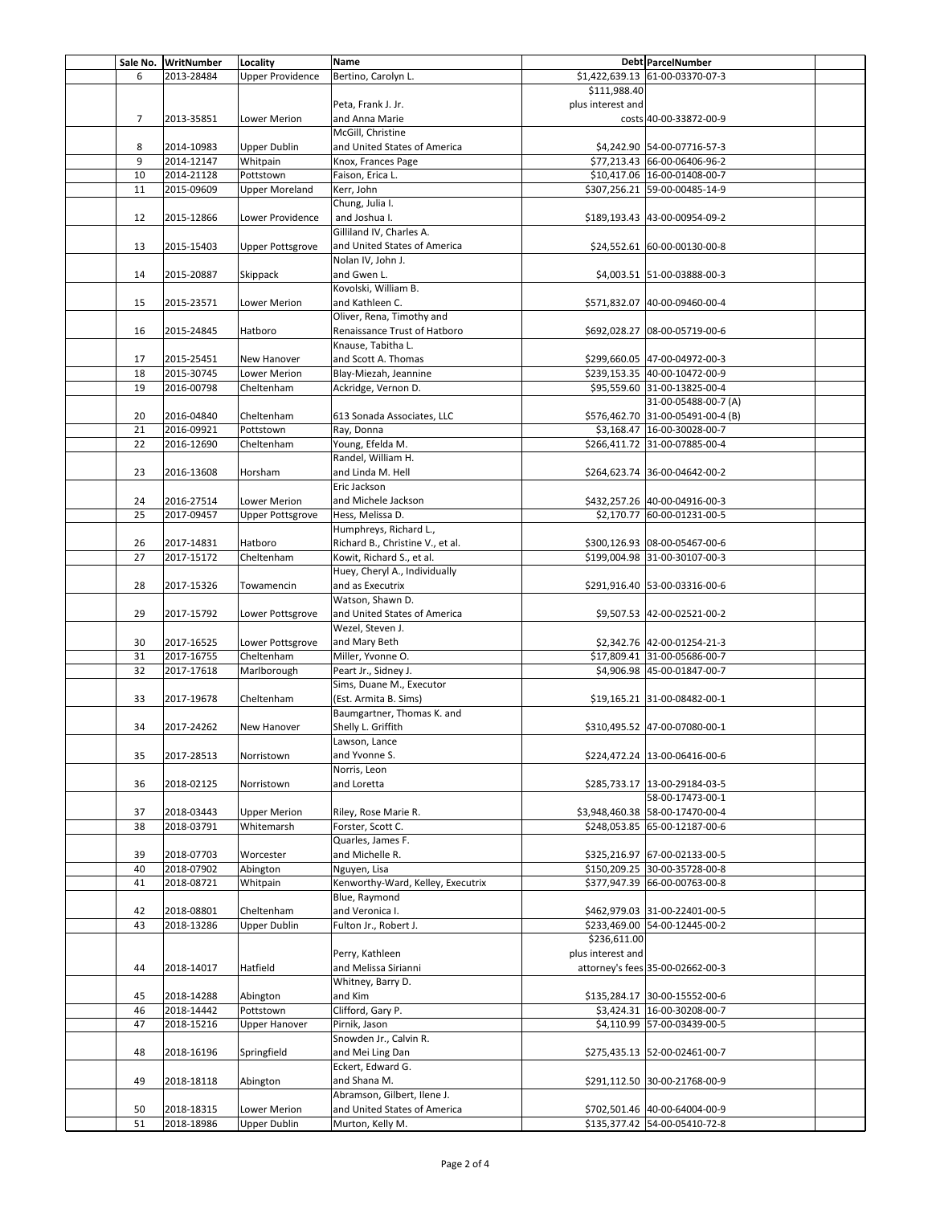|                | Sale No. WritNumber | Locality                | <b>Name</b>                       |                   | Debt ParcelNumber                 |  |
|----------------|---------------------|-------------------------|-----------------------------------|-------------------|-----------------------------------|--|
| 6              | 2013-28484          | <b>Upper Providence</b> | Bertino, Carolyn L.               |                   | \$1,422,639.13 61-00-03370-07-3   |  |
|                |                     |                         |                                   | \$111,988.40      |                                   |  |
|                |                     |                         | Peta, Frank J. Jr.                | plus interest and |                                   |  |
| $\overline{7}$ | 2013-35851          | Lower Merion            | and Anna Marie                    |                   | costs 40-00-33872-00-9            |  |
|                |                     |                         | McGill, Christine                 |                   |                                   |  |
| 8              | 2014-10983          | Upper Dublin            | and United States of America      |                   | \$4,242.90 54-00-07716-57-3       |  |
| 9              | 2014-12147          | Whitpain                | Knox, Frances Page                |                   | \$77,213.43 66-00-06406-96-2      |  |
| 10             | 2014-21128          | Pottstown               | Faison, Erica L.                  |                   | \$10,417.06 16-00-01408-00-7      |  |
| 11             | 2015-09609          | Upper Moreland          | Kerr, John                        |                   | \$307,256.21 59-00-00485-14-9     |  |
|                |                     |                         | Chung, Julia I.                   |                   |                                   |  |
| 12             | 2015-12866          | Lower Providence        | and Joshua I.                     |                   | \$189,193.43 43-00-00954-09-2     |  |
|                |                     |                         | Gilliland IV, Charles A.          |                   |                                   |  |
| 13             | 2015-15403          | <b>Upper Pottsgrove</b> | and United States of America      |                   | \$24,552.61 60-00-00130-00-8      |  |
|                |                     |                         | Nolan IV, John J.                 |                   |                                   |  |
| 14             | 2015-20887          | Skippack                | and Gwen L.                       |                   | \$4,003.51 51-00-03888-00-3       |  |
|                |                     |                         | Kovolski, William B.              |                   |                                   |  |
| 15             | 2015-23571          | Lower Merion            | and Kathleen C.                   |                   | \$571,832.07 40-00-09460-00-4     |  |
|                |                     |                         | Oliver, Rena, Timothy and         |                   |                                   |  |
| 16             | 2015-24845          | Hatboro                 | Renaissance Trust of Hatboro      |                   | \$692,028.27 08-00-05719-00-6     |  |
|                |                     |                         | Knause, Tabitha L.                |                   |                                   |  |
| 17             | 2015-25451          | New Hanover             | and Scott A. Thomas               |                   | \$299,660.05 47-00-04972-00-3     |  |
| 18             | 2015-30745          | Lower Merion            | Blay-Miezah, Jeannine             |                   | \$239,153.35 40-00-10472-00-9     |  |
| 19             | 2016-00798          | Cheltenham              | Ackridge, Vernon D.               |                   | \$95,559.60 31-00-13825-00-4      |  |
|                |                     |                         |                                   |                   | 31-00-05488-00-7 (A)              |  |
| 20             | 2016-04840          | Cheltenham              | 613 Sonada Associates, LLC        |                   | \$576,462.70 31-00-05491-00-4 (B) |  |
| 21             | 2016-09921          | Pottstown               | Ray, Donna                        |                   | \$3,168.47 16-00-30028-00-7       |  |
| 22             | 2016-12690          | Cheltenham              | Young, Efelda M.                  |                   | \$266,411.72 31-00-07885-00-4     |  |
|                |                     |                         | Randel, William H.                |                   |                                   |  |
| 23             | 2016-13608          | Horsham                 | and Linda M. Hell                 |                   | \$264,623.74 36-00-04642-00-2     |  |
|                |                     |                         | Eric Jackson                      |                   |                                   |  |
| 24             | 2016-27514          | Lower Merion            | and Michele Jackson               |                   | \$432,257.26 40-00-04916-00-3     |  |
| 25             | 2017-09457          | <b>Upper Pottsgrove</b> | Hess, Melissa D.                  |                   | \$2,170.77 60-00-01231-00-5       |  |
|                |                     |                         | Humphreys, Richard L.,            |                   |                                   |  |
| 26             | 2017-14831          | Hatboro                 | Richard B., Christine V., et al.  |                   | \$300,126.93 08-00-05467-00-6     |  |
| 27             | 2017-15172          | Cheltenham              | Kowit, Richard S., et al.         |                   | \$199,004.98 31-00-30107-00-3     |  |
|                |                     |                         | Huey, Cheryl A., Individually     |                   |                                   |  |
| 28             | 2017-15326          | Towamencin              | and as Executrix                  |                   | \$291,916.40 53-00-03316-00-6     |  |
|                |                     |                         | Watson, Shawn D.                  |                   |                                   |  |
|                |                     |                         | and United States of America      |                   |                                   |  |
| 29             | 2017-15792          | Lower Pottsgrove        | Wezel, Steven J.                  |                   | \$9,507.53 42-00-02521-00-2       |  |
|                |                     |                         |                                   |                   |                                   |  |
| 30             | 2017-16525          | Lower Pottsgrove        | and Mary Beth                     |                   | \$2,342.76 42-00-01254-21-3       |  |
| 31             | 2017-16755          | Cheltenham              | Miller, Yvonne O.                 |                   | \$17,809.41 31-00-05686-00-7      |  |
| 32             | 2017-17618          | Marlborough             | Peart Jr., Sidney J.              |                   | \$4,906.98 45-00-01847-00-7       |  |
|                |                     |                         | Sims, Duane M., Executor          |                   |                                   |  |
| 33             | 2017-19678          | Cheltenham              | (Est. Armita B. Sims)             |                   | \$19,165.21 31-00-08482-00-1      |  |
|                |                     |                         | Baumgartner, Thomas K. and        |                   |                                   |  |
| 34             | 2017-24262          | New Hanover             | Shelly L. Griffith                |                   | \$310,495.52 47-00-07080-00-1     |  |
|                |                     |                         | Lawson, Lance                     |                   |                                   |  |
| 35             | 2017-28513          | Norristown              | and Yvonne S.                     |                   | \$224,472.24 13-00-06416-00-6     |  |
|                |                     |                         | Norris, Leon                      |                   |                                   |  |
| 36             | 2018-02125          | Norristown              | and Loretta                       |                   | \$285,733.17 13-00-29184-03-5     |  |
|                |                     |                         |                                   |                   | 58-00-17473-00-1                  |  |
| 37             | 2018-03443          | <b>Upper Merion</b>     | Riley, Rose Marie R.              |                   | \$3,948,460.38 58-00-17470-00-4   |  |
| 38             | 2018-03791          | Whitemarsh              | Forster, Scott C.                 |                   | \$248,053.85 65-00-12187-00-6     |  |
|                |                     |                         | Quarles, James F.                 |                   |                                   |  |
| 39             | 2018-07703          | Worcester               | and Michelle R.                   |                   | \$325,216.97 67-00-02133-00-5     |  |
| 40             | 2018-07902          | Abington                | Nguyen, Lisa                      |                   | \$150,209.25 30-00-35728-00-8     |  |
| 41             | 2018-08721          | Whitpain                | Kenworthy-Ward, Kelley, Executrix |                   | \$377,947.39 66-00-00763-00-8     |  |
|                |                     |                         | Blue, Raymond                     |                   |                                   |  |
| 42             | 2018-08801          | Cheltenham              | and Veronica I.                   |                   | \$462,979.03 31-00-22401-00-5     |  |
| 43             | 2018-13286          | <b>Upper Dublin</b>     | Fulton Jr., Robert J.             |                   | \$233,469.00 54-00-12445-00-2     |  |
|                |                     |                         |                                   | \$236,611.00      |                                   |  |
|                |                     |                         | Perry, Kathleen                   | plus interest and |                                   |  |
| 44             | 2018-14017          | Hatfield                | and Melissa Sirianni              |                   | attorney's fees 35-00-02662-00-3  |  |
|                |                     |                         | Whitney, Barry D.                 |                   |                                   |  |
| 45             | 2018-14288          | Abington                | and Kim                           |                   | \$135,284.17 30-00-15552-00-6     |  |
| 46             | 2018-14442          | Pottstown               | Clifford, Gary P.                 |                   | \$3,424.31 16-00-30208-00-7       |  |
| 47             | 2018-15216          | Upper Hanover           | Pirnik, Jason                     |                   | \$4,110.99 57-00-03439-00-5       |  |
|                |                     |                         | Snowden Jr., Calvin R.            |                   |                                   |  |
| 48             | 2018-16196          | Springfield             | and Mei Ling Dan                  |                   | \$275,435.13 52-00-02461-00-7     |  |
|                |                     |                         | Eckert, Edward G.                 |                   |                                   |  |
| 49             | 2018-18118          | Abington                | and Shana M.                      |                   | \$291,112.50 30-00-21768-00-9     |  |
|                |                     |                         | Abramson, Gilbert, Ilene J.       |                   |                                   |  |
| 50             | 2018-18315          | Lower Merion            | and United States of America      |                   | \$702,501.46 40-00-64004-00-9     |  |
| 51             | 2018-18986          | <b>Upper Dublin</b>     | Murton, Kelly M.                  |                   | \$135,377.42 54-00-05410-72-8     |  |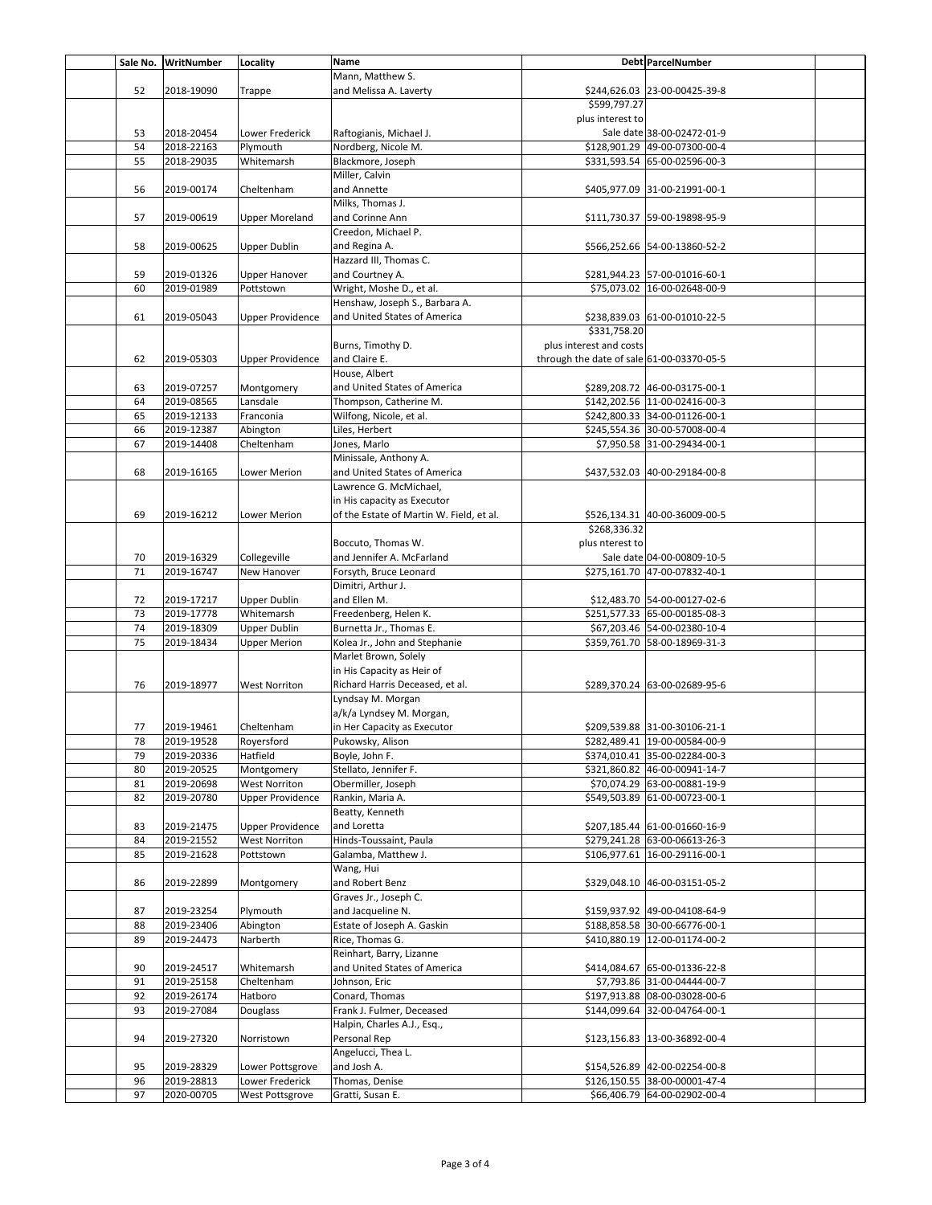|          | Sale No. WritNumber | Locality                | Name                                     |                                           | Debt ParcelNumber             |  |
|----------|---------------------|-------------------------|------------------------------------------|-------------------------------------------|-------------------------------|--|
|          |                     |                         | Mann, Matthew S.                         |                                           |                               |  |
| 52       | 2018-19090          | Trappe                  | and Melissa A. Laverty                   |                                           | \$244,626.03 23-00-00425-39-8 |  |
|          |                     |                         |                                          | \$599,797.27                              |                               |  |
|          |                     |                         |                                          | plus interest to                          |                               |  |
| 53       | 2018-20454          | Lower Frederick         | Raftogianis, Michael J.                  |                                           | Sale date 38-00-02472-01-9    |  |
| 54       | 2018-22163          | Plymouth                | Nordberg, Nicole M.                      |                                           | \$128,901.29 49-00-07300-00-4 |  |
| 55       | 2018-29035          | Whitemarsh              | Blackmore, Joseph                        |                                           | \$331,593.54 65-00-02596-00-3 |  |
|          |                     |                         | Miller, Calvin                           |                                           |                               |  |
| 56       | 2019-00174          | Cheltenham              | and Annette                              |                                           | \$405,977.09 31-00-21991-00-1 |  |
|          |                     |                         | Milks, Thomas J.                         |                                           |                               |  |
| 57       | 2019-00619          | <b>Upper Moreland</b>   | and Corinne Ann                          |                                           | \$111,730.37 59-00-19898-95-9 |  |
|          |                     |                         | Creedon, Michael P.                      |                                           |                               |  |
| 58       | 2019-00625          | <b>Upper Dublin</b>     | and Regina A.                            |                                           | \$566,252.66 54-00-13860-52-2 |  |
|          |                     |                         | Hazzard III, Thomas C.                   |                                           |                               |  |
|          |                     |                         |                                          |                                           |                               |  |
| 59<br>60 | 2019-01326          | <b>Upper Hanover</b>    | and Courtney A.                          |                                           | \$281,944.23 57-00-01016-60-1 |  |
|          | 2019-01989          | Pottstown               | Wright, Moshe D., et al.                 |                                           | \$75,073.02 16-00-02648-00-9  |  |
|          |                     |                         | Henshaw, Joseph S., Barbara A.           |                                           |                               |  |
| 61       | 2019-05043          | <b>Upper Providence</b> | and United States of America             |                                           | \$238,839.03 61-00-01010-22-5 |  |
|          |                     |                         |                                          | \$331,758.20                              |                               |  |
|          |                     |                         | Burns, Timothy D.                        | plus interest and costs                   |                               |  |
| 62       | 2019-05303          | <b>Upper Providence</b> | and Claire E.                            | through the date of sale 61-00-03370-05-5 |                               |  |
|          |                     |                         | House, Albert                            |                                           |                               |  |
| 63       | 2019-07257          | Montgomery              | and United States of America             |                                           | \$289,208.72 46-00-03175-00-1 |  |
| 64       | 2019-08565          | Lansdale                | Thompson, Catherine M.                   |                                           | \$142.202.56 11-00-02416-00-3 |  |
| 65       | 2019-12133          | Franconia               | Wilfong, Nicole, et al.                  |                                           | \$242,800.33 34-00-01126-00-1 |  |
| 66       | 2019-12387          | Abington                | Liles, Herbert                           |                                           | \$245,554.36 30-00-57008-00-4 |  |
| 67       | 2019-14408          | Cheltenham              | Jones, Marlo                             |                                           | \$7,950.58 31-00-29434-00-1   |  |
|          |                     |                         | Minissale, Anthony A.                    |                                           |                               |  |
| 68       | 2019-16165          | <b>Lower Merion</b>     | and United States of America             |                                           | \$437,532.03 40-00-29184-00-8 |  |
|          |                     |                         | Lawrence G. McMichael,                   |                                           |                               |  |
|          |                     |                         | in His capacity as Executor              |                                           |                               |  |
| 69       | 2019-16212          | <b>Lower Merion</b>     | of the Estate of Martin W. Field, et al. |                                           | \$526,134.31 40-00-36009-00-5 |  |
|          |                     |                         |                                          | \$268,336.32                              |                               |  |
|          |                     |                         |                                          |                                           |                               |  |
|          |                     |                         | Boccuto, Thomas W.                       | plus nterest to                           |                               |  |
| 70       | 2019-16329          | Collegeville            | and Jennifer A. McFarland                |                                           | Sale date 04-00-00809-10-5    |  |
| 71       | 2019-16747          | New Hanover             | Forsyth, Bruce Leonard                   |                                           | \$275,161.70 47-00-07832-40-1 |  |
|          |                     |                         | Dimitri, Arthur J.                       |                                           |                               |  |
| 72       | 2019-17217          | <b>Upper Dublin</b>     | and Ellen M.                             |                                           | \$12,483.70 54-00-00127-02-6  |  |
| 73       | 2019-17778          | Whitemarsh              | Freedenberg, Helen K.                    |                                           | \$251,577.33 65-00-00185-08-3 |  |
| 74       | 2019-18309          | <b>Upper Dublin</b>     | Burnetta Jr., Thomas E.                  |                                           | \$67,203.46 54-00-02380-10-4  |  |
| 75       | 2019-18434          | <b>Upper Merion</b>     | Kolea Jr., John and Stephanie            |                                           | \$359,761.70 58-00-18969-31-3 |  |
|          |                     |                         | Marlet Brown, Solely                     |                                           |                               |  |
|          |                     |                         | in His Capacity as Heir of               |                                           |                               |  |
| 76       | 2019-18977          | <b>West Norriton</b>    | Richard Harris Deceased, et al.          |                                           | \$289,370.24 63-00-02689-95-6 |  |
|          |                     |                         | Lyndsay M. Morgan                        |                                           |                               |  |
|          |                     |                         | a/k/a Lyndsey M. Morgan,                 |                                           |                               |  |
| 77       | 2019-19461          | Cheltenham              | in Her Capacity as Executor              |                                           | \$209,539.88 31-00-30106-21-1 |  |
| 78       | 2019-19528          | Royersford              | Pukowsky, Alison                         |                                           | \$282,489.41 19-00-00584-00-9 |  |
| 79       | 2019-20336          | Hatfield                | Boyle, John F.                           |                                           | \$374,010.41 35-00-02284-00-3 |  |
| 80       | 2019-20525          | Montgomery              | Stellato, Jennifer F.                    |                                           | \$321,860.82 46-00-00941-14-7 |  |
| 81       | 2019-20698          | <b>West Norriton</b>    | Obermiller, Joseph                       |                                           | \$70,074.29 63-00-00881-19-9  |  |
| 82       | 2019-20780          | <b>Upper Providence</b> | Rankin, Maria A.                         |                                           | \$549,503.89 61-00-00723-00-1 |  |
|          |                     |                         | Beatty, Kenneth                          |                                           |                               |  |
|          | 2019-21475          | <b>Upper Providence</b> | and Loretta                              |                                           | \$207,185.44 61-00-01660-16-9 |  |
| 83       |                     | <b>West Norriton</b>    |                                          |                                           | \$279,241.28 63-00-06613-26-3 |  |
| 84       | 2019-21552          |                         | Hinds-Toussaint, Paula                   |                                           |                               |  |
| 85       | 2019-21628          | Pottstown               | Galamba, Matthew J.                      |                                           | \$106,977.61 16-00-29116-00-1 |  |
|          |                     |                         | Wang, Hui                                |                                           |                               |  |
| 86       | 2019-22899          | Montgomery              | and Robert Benz                          |                                           | \$329,048.10 46-00-03151-05-2 |  |
|          |                     |                         | Graves Jr., Joseph C.                    |                                           |                               |  |
| 87       | 2019-23254          | Plymouth                | and Jacqueline N.                        |                                           | \$159,937.92 49-00-04108-64-9 |  |
| 88       | 2019-23406          | Abington                | Estate of Joseph A. Gaskin               |                                           | \$188,858.58 30-00-66776-00-1 |  |
| 89       | 2019-24473          | Narberth                | Rice, Thomas G.                          |                                           | \$410,880.19 12-00-01174-00-2 |  |
|          |                     |                         | Reinhart, Barry, Lizanne                 |                                           |                               |  |
| 90       | 2019-24517          | Whitemarsh              | and United States of America             |                                           | \$414,084.67 65-00-01336-22-8 |  |
| 91       | 2019-25158          | Cheltenham              | Johnson, Eric                            |                                           | \$7,793.86 31-00-04444-00-7   |  |
| 92       | 2019-26174          | Hatboro                 | Conard, Thomas                           |                                           | \$197,913.88 08-00-03028-00-6 |  |
| 93       | 2019-27084          | Douglass                | Frank J. Fulmer, Deceased                |                                           | \$144,099.64 32-00-04764-00-1 |  |
|          |                     |                         | Halpin, Charles A.J., Esq.,              |                                           |                               |  |
| 94       | 2019-27320          | Norristown              | Personal Rep                             |                                           | \$123,156.83 13-00-36892-00-4 |  |
|          |                     |                         | Angelucci, Thea L.                       |                                           |                               |  |
| 95       | 2019-28329          | Lower Pottsgrove        | and Josh A.                              |                                           | \$154,526.89 42-00-02254-00-8 |  |
| 96       | 2019-28813          | Lower Frederick         | Thomas, Denise                           |                                           | \$126,150.55 38-00-00001-47-4 |  |
|          |                     |                         |                                          |                                           |                               |  |
| 97       | 2020-00705          | West Pottsgrove         | Gratti, Susan E.                         |                                           | \$66,406.79 64-00-02902-00-4  |  |